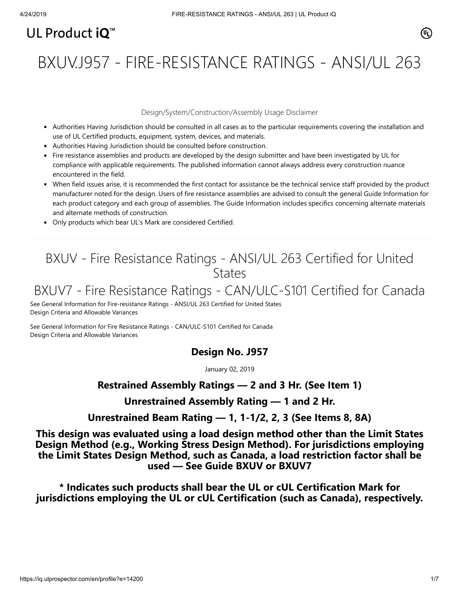# UL Product  $i\mathbf{O}^m$

BXUV.J957 - FIRE-RESISTANCE RATINGS - ANSI/UL 263

### Design/System/Construction/Assembly Usage Disclaimer

- Authorities Having Jurisdiction should be consulted in all cases as to the particular requirements covering the installation and use of UL Certified products, equipment, system, devices, and materials.
- Authorities Having Jurisdiction should be consulted before construction.
- Fire resistance assemblies and products are developed by the design submitter and have been investigated by UL for compliance with applicable requirements. The published information cannot always address every construction nuance encountered in the field.
- When field issues arise, it is recommended the first contact for assistance be the technical service staff provided by the product manufacturer noted for the design. Users of fire resistance assemblies are advised to consult the general Guide Information for each product category and each group of assemblies. The Guide Information includes specifics concerning alternate materials and alternate methods of construction.
- Only products which bear UL's Mark are considered Certified.

# BXUV - Fire Resistance Ratings - ANSI/UL 263 Certified for United **States**

# BXUV7 - Fire Resistance Ratings - CAN/ULC-S101 Certified for Canada

[See General Information for Fire-resistance Ratings - ANSI/UL 263 Certified for United States](https://iq.ulprospector.com/cgi-bin/XYV/template/LISEXT/1FRAME/showpage.html?name=BXUV.GuideInfo&ccnshorttitle=Fire-resistance+Ratings+-+ANSI/UL+263&objid=1074327030&cfgid=1073741824&version=versionless&parent_id=1073984818&sequence=1) Design Criteria and Allowable Variances

[See General Information for Fire Resistance Ratings - CAN/ULC-S101 Certified for Canada](https://iq.ulprospector.com/cgi-bin/XYV/template/LISEXT/1FRAME/showpage.html?name=BXUV7.GuideInfo&ccnshorttitle=Fire+Resistance+Ratings+-+CAN/ULC-S101+Certified+for+Canada&objid=1074205658&cfgid=1073741824&version=versionless&parent_id=1073984820&sequence=1) Design Criteria and Allowable Variances

# **Design No. J957**

January 02, 2019

# **Restrained Assembly Ratings — 2 and 3 Hr. (See Item 1)**

# **Unrestrained Assembly Rating — 1 and 2 Hr.**

# **Unrestrained Beam Rating — 1, 1-1/2, 2, 3 (See Items 8, 8A)**

**This design was evaluated using a load design method other than the Limit States Design Method (e.g., Working Stress Design Method). For jurisdictions employing the Limit States Design Method, such as Canada, a load restriction factor shall be used — See Guide [BXUV](https://database.ul.com/cgi-bin/XYV/template/LISEXT/1FRAME/showpage.html?name=BXUV.GuideInfo&ccnshorttitle=Fire-resistance+Ratings+-+ANSI/UL+263&objid=1074327030&cfgid=1073741824&version=versionless&parent_id=1073984818&sequence=1) or [BXUV7](https://database.ul.com/cgi-bin/XYV/template/LISEXT/1FRAME/showpage.html?name=BXUV7.GuideInfo&ccnshorttitle=Fire+Resistance+Ratings+-+CAN/ULC-S101M+Certified+for+Canada&objid=1074205658&cfgid=1073741824&version=versionless&parent_id=1073984820&sequence=1)**

**\* Indicates such products shall bear the UL or cUL Certification Mark for jurisdictions employing the UL or cUL Certification (such as Canada), respectively.**

⁄ඔ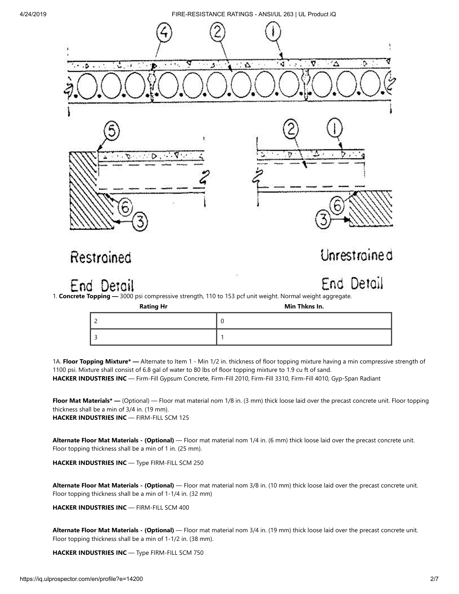

1A. **Floor Topping Mixture\* —** Alternate to Item 1 - Min 1/2 in. thickness of floor topping mixture having a min compressive strength of 1100 psi. Mixture shall consist of 6.8 gal of water to 80 lbs of floor topping mixture to 1.9 cu ft of sand. **HACKER INDUSTRIES INC** — Firm-Fill Gypsum Concrete, Firm-Fill 2010, Firm-Fill 3310, Firm-Fill 4010, Gyp-Span Radiant

**Floor Mat Materials\*** — (Optional) — Floor mat material nom 1/8 in. (3 mm) thick loose laid over the precast concrete unit. Floor topping thickness shall be a min of 3/4 in. (19 mm). **HACKER INDUSTRIES INC** — FIRM-FILL SCM 125

**Alternate Floor Mat Materials - (Optional)** — Floor mat material nom 1/4 in. (6 mm) thick loose laid over the precast concrete unit. Floor topping thickness shall be a min of 1 in. (25 mm).

**HACKER INDUSTRIES INC** — Type FIRM-FILL SCM 250

**Alternate Floor Mat Materials - (Optional)** — Floor mat material nom 3/8 in. (10 mm) thick loose laid over the precast concrete unit. Floor topping thickness shall be a min of 1-1/4 in. (32 mm)

**HACKER INDUSTRIES INC** — FIRM-FILL SCM 400

**Alternate Floor Mat Materials - (Optional)** — Floor mat material nom 3/4 in. (19 mm) thick loose laid over the precast concrete unit. Floor topping thickness shall be a min of 1-1/2 in. (38 mm).

**HACKER INDUSTRIES INC** — Type FIRM-FILL SCM 750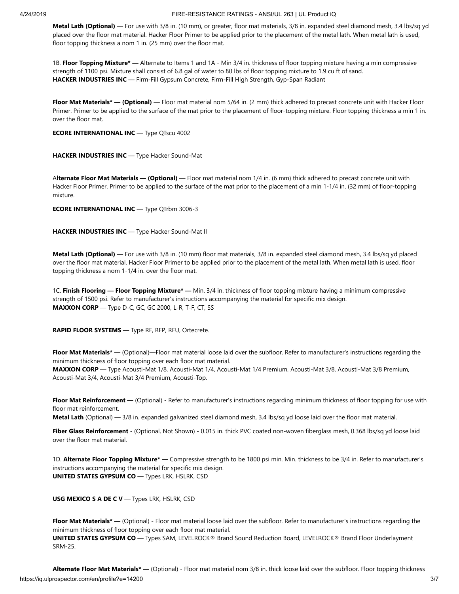**Metal Lath (Optional)** — For use with 3/8 in. (10 mm), or greater, floor mat materials, 3/8 in. expanded steel diamond mesh, 3.4 lbs/sq yd placed over the floor mat material. Hacker Floor Primer to be applied prior to the placement of the metal lath. When metal lath is used, floor topping thickness a nom 1 in. (25 mm) over the floor mat.

1B. **Floor Topping Mixture\* —** Alternate to Items 1 and 1A - Min 3/4 in. thickness of floor topping mixture having a min compressive strength of 1100 psi. Mixture shall consist of 6.8 gal of water to 80 lbs of floor topping mixture to 1.9 cu ft of sand. **HACKER INDUSTRIES INC** — Firm-Fill Gypsum Concrete, Firm-Fill High Strength, Gyp-Span Radiant

**Floor Mat Materials\* — (Optional)** — Floor mat material nom 5/64 in. (2 mm) thick adhered to precast concrete unit with Hacker Floor Primer. Primer to be applied to the surface of the mat prior to the placement of floor-topping mixture. Floor topping thickness a min 1 in. over the floor mat.

**ECORE INTERNATIONAL INC** — Type QTscu 4002

**HACKER INDUSTRIES INC** — Type Hacker Sound-Mat

A**lternate Floor Mat Materials — (Optional)** — Floor mat material nom 1/4 in. (6 mm) thick adhered to precast concrete unit with Hacker Floor Primer. Primer to be applied to the surface of the mat prior to the placement of a min 1-1/4 in. (32 mm) of floor-topping mixture.

**ECORE INTERNATIONAL INC** — Type QTrbm 3006-3

**HACKER INDUSTRIES INC** — Type Hacker Sound-Mat II

**Metal Lath (Optional)** — For use with 3/8 in. (10 mm) floor mat materials, 3/8 in. expanded steel diamond mesh, 3.4 lbs/sq yd placed over the floor mat material. Hacker Floor Primer to be applied prior to the placement of the metal lath. When metal lath is used, floor topping thickness a nom 1-1/4 in. over the floor mat.

1C. **Finish Flooring — Floor Topping Mixture\* —** Min. 3/4 in. thickness of floor topping mixture having a minimum compressive strength of 1500 psi. Refer to manufacturer's instructions accompanying the material for specific mix design. **MAXXON CORP** — Type D-C, GC, GC 2000, L-R, T-F, CT, SS

**RAPID FLOOR SYSTEMS** — Type RF, RFP, RFU, Ortecrete.

**Floor Mat Materials\* —** (Optional)—Floor mat material loose laid over the subfloor. Refer to manufacturer's instructions regarding the minimum thickness of floor topping over each floor mat material. **MAXXON CORP** — Type Acousti-Mat 1/8, Acousti-Mat 1/4, Acousti-Mat 1/4 Premium, Acousti-Mat 3/8, Acousti-Mat 3/8 Premium, Acousti-Mat 3/4, Acousti-Mat 3/4 Premium, Acousti-Top.

**Floor Mat Reinforcement —** (Optional) - Refer to manufacturer's instructions regarding minimum thickness of floor topping for use with floor mat reinforcement.

**Metal Lath** (Optional) — 3/8 in. expanded galvanized steel diamond mesh, 3.4 lbs/sq yd loose laid over the floor mat material.

Fiber Glass Reinforcement - (Optional, Not Shown) - 0.015 in. thick PVC coated non-woven fiberglass mesh, 0.368 lbs/sq yd loose laid over the floor mat material.

1D. **Alternate Floor Topping Mixture\* —** Compressive strength to be 1800 psi min. Min. thickness to be 3/4 in. Refer to manufacturer's instructions accompanying the material for specific mix design. **UNITED STATES GYPSUM CO** — Types LRK, HSLRK, CSD

**USG MEXICO S A DE C V** — Types LRK, HSLRK, CSD

**Floor Mat Materials\* —** (Optional) - Floor mat material loose laid over the subfloor. Refer to manufacturer's instructions regarding the minimum thickness of floor topping over each floor mat material. **UNITED STATES GYPSUM CO** — Types SAM, LEVELROCK® Brand Sound Reduction Board, LEVELROCK® Brand Floor Underlayment SRM-25.

https://iq.ulprospector.com/en/profile?e=14200 3/7 **Alternate Floor Mat Materials\* —** (Optional) - Floor mat material nom 3/8 in. thick loose laid over the subfloor. Floor topping thickness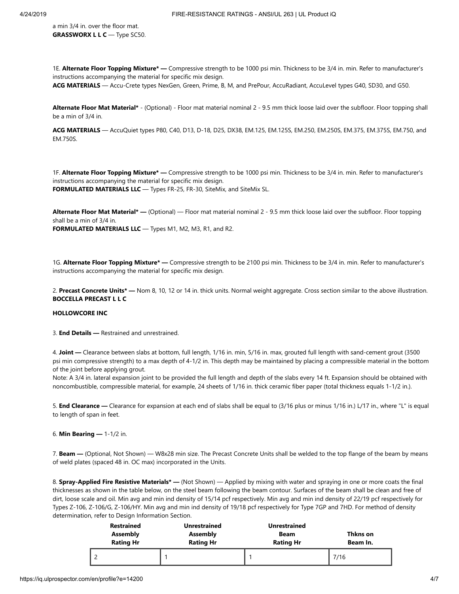a min 3/4 in. over the floor mat. **GRASSWORX L L C** — Type SC50.

1E. **Alternate Floor Topping Mixture\* —** Compressive strength to be 1000 psi min. Thickness to be 3/4 in. min. Refer to manufacturer's instructions accompanying the material for specific mix design.

**ACG MATERIALS** — Accu-Crete types NexGen, Green, Prime, B, M, and PrePour, AccuRadiant, AccuLevel types G40, SD30, and G50.

**Alternate Floor Mat Material\*** - (Optional) - Floor mat material nominal 2 - 9.5 mm thick loose laid over the subfloor. Floor topping shall be a min of 3/4 in.

**ACG MATERIALS** — AccuQuiet types P80, C40, D13, D-18, D25, DX38, EM.125, EM.125S, EM.250, EM.250S, EM.375, EM.375S, EM.750, and EM.750S.

1F. **Alternate Floor Topping Mixture\* —** Compressive strength to be 1000 psi min. Thickness to be 3/4 in. min. Refer to manufacturer's instructions accompanying the material for specific mix design. **FORMULATED MATERIALS LLC** — Types FR-25, FR-30, SiteMix, and SiteMix SL.

**Alternate Floor Mat Material\* —** (Optional) — Floor mat material nominal 2 - 9.5 mm thick loose laid over the subfloor. Floor topping shall be a min of 3/4 in. **FORMULATED MATERIALS LLC** — Types M1, M2, M3, R1, and R2.

1G. **Alternate Floor Topping Mixture\* —** Compressive strength to be 2100 psi min. Thickness to be 3/4 in. min. Refer to manufacturer's instructions accompanying the material for specific mix design.

2. **Precast Concrete Units\* —** Nom 8, 10, 12 or 14 in. thick units. Normal weight aggregate. Cross section similar to the above illustration. **BOCCELLA PRECAST L L C**

## **HOLLOWCORE INC**

3. **End Details —** Restrained and unrestrained.

4. **Joint —** Clearance between slabs at bottom, full length, 1/16 in. min, 5/16 in. max, grouted full length with sand-cement grout (3500 psi min compressive strength) to a max depth of 4-1/2 in. This depth may be maintained by placing a compressible material in the bottom of the joint before applying grout.

Note: A 3/4 in. lateral expansion joint to be provided the full length and depth of the slabs every 14 ft. Expansion should be obtained with noncombustible, compressible material, for example, 24 sheets of 1/16 in. thick ceramic fiber paper (total thickness equals 1-1/2 in.).

5. **End Clearance —** Clearance for expansion at each end of slabs shall be equal to (3/16 plus or minus 1/16 in.) L/17 in., where "L" is equal to length of span in feet.

6. **Min Bearing —** 1-1/2 in.

7. **Beam —** (Optional, Not Shown) — W8x28 min size. The Precast Concrete Units shall be welded to the top flange of the beam by means of weld plates (spaced 48 in. OC max) incorporated in the Units.

8. **Spray-Applied Fire Resistive Materials\* —** (Not Shown) — Applied by mixing with water and spraying in one or more coats the final thicknesses as shown in the table below, on the steel beam following the beam contour. Surfaces of the beam shall be clean and free of dirt, loose scale and oil. Min avg and min ind density of 15/14 pcf respectively. Min avg and min ind density of 22/19 pcf respectively for Types Z-106, Z-106/G, Z-106/HY. Min avg and min ind density of 19/18 pcf respectively for Type 7GP and 7HD. For method of density determination, refer to Design Information Section.

| <b>Restrained</b><br>Assembly<br><b>Rating Hr</b> | <b>Unrestrained</b><br><b>Assembly</b><br><b>Rating Hr</b> | <b>Unrestrained</b><br>Beam<br><b>Rating Hr</b> | Thkns on<br>Beam In. |
|---------------------------------------------------|------------------------------------------------------------|-------------------------------------------------|----------------------|
|                                                   |                                                            |                                                 | 7/16                 |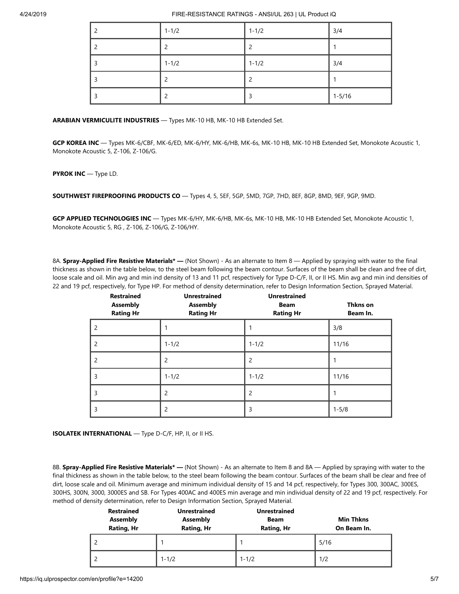| $1 - 1/2$ | $1 - 1/2$ | 3/4        |
|-----------|-----------|------------|
|           | ∍         |            |
| $1 - 1/2$ | $1 - 1/2$ | 3/4        |
|           |           |            |
|           |           | $1 - 5/16$ |

**ARABIAN VERMICULITE INDUSTRIES** — Types MK-10 HB, MK-10 HB Extended Set.

**GCP KOREA INC** — Types MK-6/CBF, MK-6/ED, MK-6/HY, MK-6/HB, MK-6s, MK-10 HB, MK-10 HB Extended Set, Monokote Acoustic 1, Monokote Acoustic 5, Z-106, Z-106/G.

## **PYROK INC** — Type LD.

**SOUTHWEST FIREPROOFING PRODUCTS CO** — Types 4, 5, 5EF, 5GP, 5MD, 7GP, 7HD, 8EF, 8GP, 8MD, 9EF, 9GP, 9MD.

**GCP APPLIED TECHNOLOGIES INC** — Types MK-6/HY, MK-6/HB, MK-6s, MK-10 HB, MK-10 HB Extended Set, Monokote Acoustic 1, Monokote Acoustic 5, RG , Z-106, Z-106/G, Z-106/HY.

8A. **Spray-Applied Fire Resistive Materials\* —** (Not Shown) - As an alternate to Item 8 — Applied by spraying with water to the final thickness as shown in the table below, to the steel beam following the beam contour. Surfaces of the beam shall be clean and free of dirt, loose scale and oil. Min avg and min ind density of 13 and 11 pcf, respectively for Type D-C/F, II, or II HS. Min avg and min ind densities of 22 and 19 pcf, respectively, for Type HP. For method of density determination, refer to Design Information Section, Sprayed Material.

| <b>Restrained</b><br><b>Assembly</b><br><b>Rating Hr</b> | <b>Unrestrained</b><br><b>Assembly</b><br><b>Rating Hr</b> | <b>Unrestrained</b><br><b>Beam</b><br><b>Rating Hr</b> | Thkns on<br>Beam In. |
|----------------------------------------------------------|------------------------------------------------------------|--------------------------------------------------------|----------------------|
| $\overline{c}$                                           |                                                            |                                                        | 3/8                  |
| 2                                                        | $1 - 1/2$                                                  | $1 - 1/2$                                              | 11/16                |
| 2                                                        | 2                                                          | $\overline{c}$                                         |                      |
| 3                                                        | $1 - 1/2$                                                  | $1 - 1/2$                                              | 11/16                |
| 3                                                        | 2                                                          | $\overline{c}$                                         |                      |
| 3                                                        | 2                                                          | 3                                                      | $1 - 5/8$            |

**ISOLATEK INTERNATIONAL** — Type D-C/F, HP, II, or II HS.

8B. **Spray-Applied Fire Resistive Materials\* —** (Not Shown) - As an alternate to Item 8 and 8A — Applied by spraying with water to the final thickness as shown in the table below, to the steel beam following the beam contour. Surfaces of the beam shall be clear and free of dirt, loose scale and oil. Minimum average and minimum individual density of 15 and 14 pcf, respectively, for Types 300, 300AC, 300ES, 300HS, 300N, 3000, 3000ES and SB. For Types 400AC and 400ES min average and min individual density of 22 and 19 pcf, respectively. For method of density determination, refer to Design Information Section, Sprayed Material.

| <b>Restrained</b><br><b>Assembly</b><br>Rating, Hr | <b>Unrestrained</b><br><b>Assembly</b><br>Rating, Hr | <b>Unrestrained</b><br><b>Beam</b><br>Rating, Hr | <b>Min Thkns</b><br>On Beam In. |
|----------------------------------------------------|------------------------------------------------------|--------------------------------------------------|---------------------------------|
|                                                    |                                                      |                                                  | 5/16                            |
|                                                    | $1 - 1/2$                                            | $1 - 1/2$                                        | 1/2                             |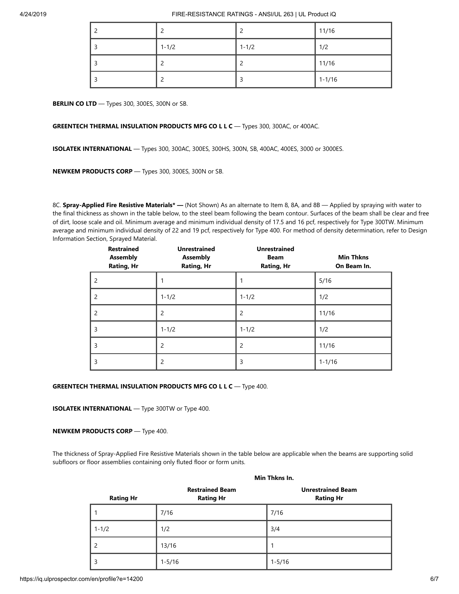| ◠         |           | 11/16      |
|-----------|-----------|------------|
| $1 - 1/2$ | $1 - 1/2$ | 1/2        |
| ◠         |           | 11/16      |
| ◠         |           | $1 - 1/16$ |

**BERLIN CO LTD** — Types 300, 300ES, 300N or SB.

## **GREENTECH THERMAL INSULATION PRODUCTS MFG CO L L C** — Types 300, 300AC, or 400AC.

**ISOLATEK INTERNATIONAL** — Types 300, 300AC, 300ES, 300HS, 300N, SB, 400AC, 400ES, 3000 or 3000ES.

**NEWKEM PRODUCTS CORP** — Types 300, 300ES, 300N or SB.

8C. **Spray-Applied Fire Resistive Materials\* —** (Not Shown) As an alternate to Item 8, 8A, and 8B — Applied by spraying with water to the final thickness as shown in the table below, to the steel beam following the beam contour. Surfaces of the beam shall be clear and free of dirt, loose scale and oil. Minimum average and minimum individual density of 17.5 and 16 pcf, respectively for Type 300TW. Minimum average and minimum individual density of 22 and 19 pcf, respectively for Type 400. For method of density determination, refer to Design Information Section, Sprayed Material.

| <b>Restrained</b><br><b>Assembly</b><br><b>Rating, Hr</b> | <b>Unrestrained</b><br><b>Assembly</b><br><b>Rating, Hr</b> | <b>Unrestrained</b><br><b>Beam</b><br><b>Rating, Hr</b> | <b>Min Thkns</b><br>On Beam In. |
|-----------------------------------------------------------|-------------------------------------------------------------|---------------------------------------------------------|---------------------------------|
| 2                                                         |                                                             |                                                         | 5/16                            |
| 2                                                         | $1 - 1/2$                                                   | $1 - 1/2$                                               | 1/2                             |
| 2                                                         | 2                                                           | 2                                                       | 11/16                           |
| 3                                                         | $1 - 1/2$                                                   | $1 - 1/2$                                               | 1/2                             |
| 3                                                         | $\overline{c}$                                              | $\overline{c}$                                          | 11/16                           |
| 3                                                         | 2                                                           | 3                                                       | $1 - 1/16$                      |

## **GREENTECH THERMAL INSULATION PRODUCTS MFG CO L L C** — Type 400.

**ISOLATEK INTERNATIONAL** — Type 300TW or Type 400.

### **NEWKEM PRODUCTS CORP** — Type 400.

The thickness of Spray-Applied Fire Resistive Materials shown in the table below are applicable when the beams are supporting solid subfloors or floor assemblies containing only fluted floor or form units.

|                  | IVIIII TIIKID III.                         |                                              |
|------------------|--------------------------------------------|----------------------------------------------|
| <b>Rating Hr</b> | <b>Restrained Beam</b><br><b>Rating Hr</b> | <b>Unrestrained Beam</b><br><b>Rating Hr</b> |
|                  | 7/16                                       | 7/16                                         |
| $1 - 1/2$        | 1/2                                        | 3/4                                          |
| 2                | 13/16                                      | 1                                            |
| 3                | $1 - 5/16$                                 | $1 - 5/16$                                   |

**Min Thkns In.**